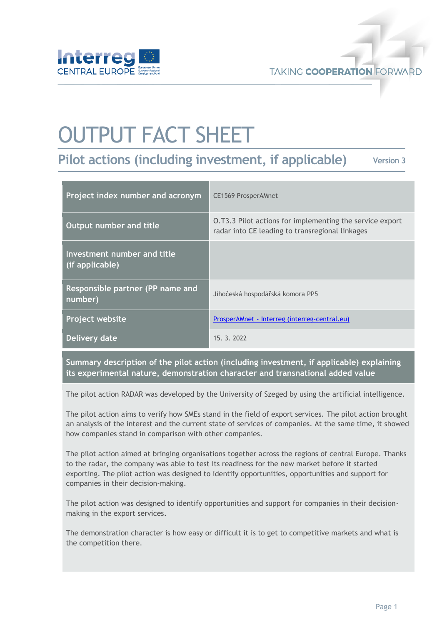

# OUTPUT FACT SHEET

**Pilot actions (including investment, if applicable) Version 3**

| Project index number and acronym               | <b>CE1569 ProsperAMnet</b>                                                                                  |
|------------------------------------------------|-------------------------------------------------------------------------------------------------------------|
| Output number and title                        | 0.T3.3 Pilot actions for implementing the service export<br>radar into CE leading to transregional linkages |
| Investment number and title<br>(if applicable) |                                                                                                             |
| Responsible partner (PP name and<br>number)    | Jihočeská hospodářská komora PP5                                                                            |
| <b>Project website</b>                         | ProsperAMnet - Interreg (interreg-central.eu)                                                               |
| Delivery date                                  | 15. 3. 2022                                                                                                 |

**Summary description of the pilot action (including investment, if applicable) explaining its experimental nature, demonstration character and transnational added value**

The pilot action RADAR was developed by the University of Szeged by using the artificial intelligence.

The pilot action aims to verify how SMEs stand in the field of export services. The pilot action brought an analysis of the interest and the current state of services of companies. At the same time, it showed how companies stand in comparison with other companies.

The pilot action aimed at bringing organisations together across the regions of central Europe. Thanks to the radar, the company was able to test its readiness for the new market before it started exporting. The pilot action was designed to identify opportunities, opportunities and support for companies in their decision-making.

The pilot action was designed to identify opportunities and support for companies in their decisionmaking in the export services.

The demonstration character is how easy or difficult it is to get to competitive markets and what is the competition there.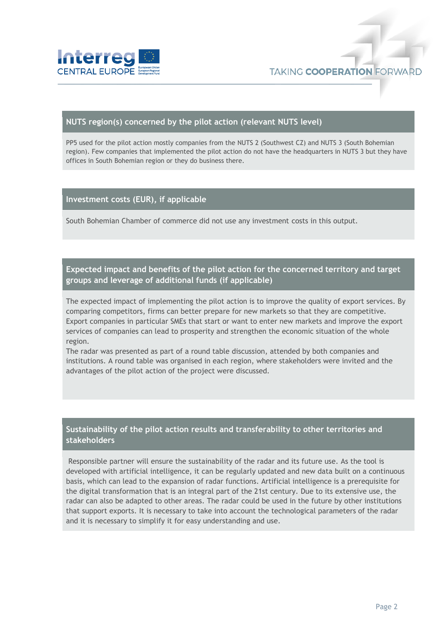

#### **NUTS region(s) concerned by the pilot action (relevant NUTS level)**

PP5 used for the pilot action mostly companies from the NUTS 2 (Southwest CZ) and NUTS 3 (South Bohemian region). Few companies that implemented the pilot action do not have the headquarters in NUTS 3 but they have offices in South Bohemian region or they do business there.

#### **Investment costs (EUR), if applicable**

South Bohemian Chamber of commerce did not use any investment costs in this output.

### **Expected impact and benefits of the pilot action for the concerned territory and target groups and leverage of additional funds (if applicable)**

The expected impact of implementing the pilot action is to improve the quality of export services. By comparing competitors, firms can better prepare for new markets so that they are competitive. Export companies in particular SMEs that start or want to enter new markets and improve the export services of companies can lead to prosperity and strengthen the economic situation of the whole region.

The radar was presented as part of a round table discussion, attended by both companies and institutions. A round table was organised in each region, where stakeholders were invited and the advantages of the pilot action of the project were discussed.

## **Sustainability of the pilot action results and transferability to other territories and stakeholders**

Responsible partner will ensure the sustainability of the radar and its future use. As the tool is developed with artificial intelligence, it can be regularly updated and new data built on a continuous basis, which can lead to the expansion of radar functions. Artificial intelligence is a prerequisite for the digital transformation that is an integral part of the 21st century. Due to its extensive use, the radar can also be adapted to other areas. The radar could be used in the future by other institutions that support exports. It is necessary to take into account the technological parameters of the radar and it is necessary to simplify it for easy understanding and use.